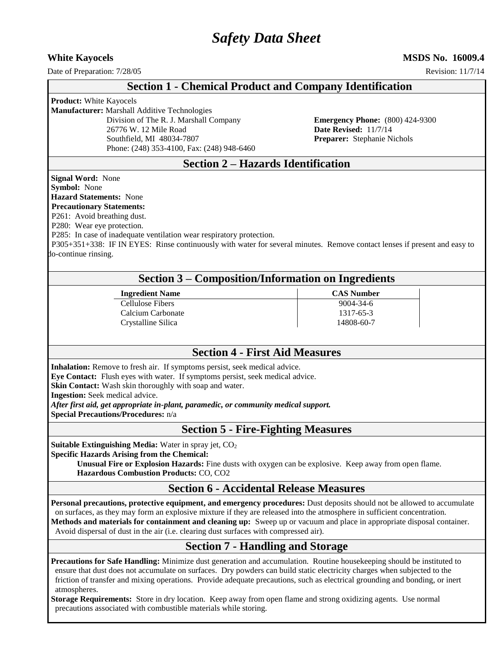# *Safety Data Sheet*

**White Kayocels MSDS No. 16009.4**

Date of Preparation:  $7/28/05$  Revision: 11/7/14

## **Section 1 - Chemical Product and Company Identification**

**Product:** White Kayocels

**Manufacturer:** Marshall Additive Technologies

26776 W. 12 Mile Road **Date Revised:** 11/7/14 Southfield, MI 48034-7807 **Preparer:** Stephanie Nichols Phone: (248) 353-4100, Fax: (248) 948-6460

Division of The R. J. Marshall Company **Emergency Phone:** (800) 424-9300

## **Section 2 – Hazards Identification**

**Signal Word:** None **Symbol:** None

## **Hazard Statements:** None

## **Precautionary Statements:**

P261: Avoid breathing dust.

P280: Wear eye protection.

P285: In case of inadequate ventilation wear respiratory protection.

 P305+351+338: IF IN EYES: Rinse continuously with water for several minutes. Remove contact lenses if present and easy to do-continue rinsing.

| <b>Section 3 – Composition/Information on Ingredients</b> |  |
|-----------------------------------------------------------|--|
|-----------------------------------------------------------|--|

| <b>Ingredient Name</b> |  |
|------------------------|--|
| Cellulose Fibers       |  |
| Calcium Carbonate      |  |
| Crystalline Silica     |  |

#### **CAS Number** 9004-34-6  $1317-65-3$ 14808-60-7

# **Section 4 - First Aid Measures**

**Inhalation:** Remove to fresh air. If symptoms persist, seek medical advice.

**Eye Contact:** Flush eyes with water. If symptoms persist, seek medical advice.

**Skin Contact:** Wash skin thoroughly with soap and water.

**Ingestion:** Seek medical advice.

*After first aid, get appropriate in-plant, paramedic, or community medical support.*

**Special Precautions/Procedures:** n/a

**Section 5 - Fire-Fighting Measures**

**Suitable Extinguishing Media:** Water in spray jet, CO<sub>2</sub>

**Specific Hazards Arising from the Chemical:** 

**Unusual Fire or Explosion Hazards:** Fine dusts with oxygen can be explosive. Keep away from open flame. **Hazardous Combustion Products:** CO, CO2

## **Section 6 - Accidental Release Measures**

**Personal precautions, protective equipment, and emergency procedures:** Dust deposits should not be allowed to accumulate on surfaces, as they may form an explosive mixture if they are released into the atmosphere in sufficient concentration. **Methods and materials for containment and cleaning up:** Sweep up or vacuum and place in appropriate disposal container. Avoid dispersal of dust in the air (i.e. clearing dust surfaces with compressed air).

# **Section 7 - Handling and Storage**

**Precautions for Safe Handling:** Minimize dust generation and accumulation. Routine housekeeping should be instituted to ensure that dust does not accumulate on surfaces. Dry powders can build static electricity charges when subjected to the friction of transfer and mixing operations. Provide adequate precautions, such as electrical grounding and bonding, or inert atmospheres.

**Storage Requirements:** Store in dry location. Keep away from open flame and strong oxidizing agents. Use normal precautions associated with combustible materials while storing.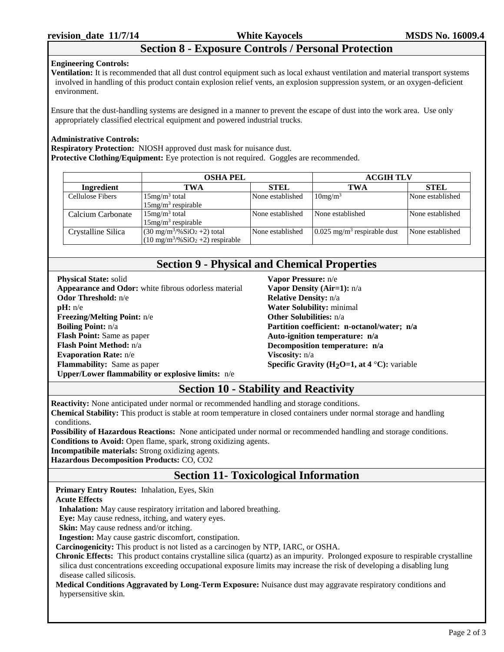# **Section 8 - Exposure Controls / Personal Protection**

#### **Engineering Controls:**

**Ventilation:** It is recommended that all dust control equipment such as local exhaust ventilation and material transport systems involved in handling of this product contain explosion relief vents, an explosion suppression system, or an oxygen-deficient environment.

Ensure that the dust-handling systems are designed in a manner to prevent the escape of dust into the work area. Use only appropriately classified electrical equipment and powered industrial trucks.

#### **Administrative Controls:**

**Respiratory Protection:** NIOSH approved dust mask for nuisance dust. **Protective Clothing/Equipment:** Eye protection is not required. Goggles are recommended.

|                    | <b>OSHA PEL</b>                                                                                         |                  | <b>ACGIH TLV</b>                          |                  |
|--------------------|---------------------------------------------------------------------------------------------------------|------------------|-------------------------------------------|------------------|
| Ingredient         | TWA                                                                                                     | <b>STEL</b>      | TWA                                       | <b>STEL</b>      |
| Cellulose Fibers   | $15mg/m3$ total<br>$15mg/m3$ respirable                                                                 | None established | 10mg/m <sup>3</sup>                       | None established |
| Calcium Carbonate  | $15mg/m3$ total<br>$15mg/m3$ respirable                                                                 | None established | None established                          | None established |
| Crystalline Silica | $(30 \text{ mg/m}^3/\% \text{SiO}_2 + 2)$ total<br>$(10 \text{ mg/m}^3/\% \text{SiO}_2 + 2)$ respirable | None established | $0.025$ mg/m <sup>3</sup> respirable dust | None established |

## **Section 9 - Physical and Chemical Properties**

**Physical State:** solid **Appearance and Odor:** white fibrous odorless material **Odor Threshold:** n/e **pH:** n/e **Freezing/Melting Point:** n/e **Boiling Point:** n/a **Flash Point:** Same as paper **Flash Point Method:** n/a **Evaporation Rate:** n/e **Flammability:** Same as paper **Upper/Lower flammability or explosive limits:** n/e

**Vapor Pressure:** n/e **Vapor Density (Air=1):** n/a **Relative Density:** n/a **Water Solubility:** minimal **Other Solubilities:** n/a **Partition coefficient: n-octanol/water; n/a Auto-ignition temperature: n/a Decomposition temperature: n/a Viscosity:** n/a **Specific Gravity (H2O=1, at 4** °**C):** variable

# **Section 10 - Stability and Reactivity**

**Reactivity:** None anticipated under normal or recommended handling and storage conditions.

**Chemical Stability:** This product is stable at room temperature in closed containers under normal storage and handling conditions.

**Possibility of Hazardous Reactions:** None anticipated under normal or recommended handling and storage conditions. **Conditions to Avoid:** Open flame, spark, strong oxidizing agents.

**Incompatibile materials:** Strong oxidizing agents.

**Hazardous Decomposition Products:** CO, CO2

# **Section 11- Toxicological Information**

**Primary Entry Routes:** Inhalation, Eyes, Skin

#### **Acute Effects**

**Inhalation:** May cause respiratory irritation and labored breathing.

**Eye:** May cause redness, itching, and watery eyes.

**Skin:** May cause redness and/or itching.

**Ingestion:** May cause gastric discomfort, constipation.

**Carcinogenicity:** This product is not listed as a carcinogen by NTP, IARC, or OSHA.

**Chronic Effects:** This product contains crystalline silica (quartz) as an impurity. Prolonged exposure to respirable crystalline silica dust concentrations exceeding occupational exposure limits may increase the risk of developing a disabling lung disease called silicosis.

**Medical Conditions Aggravated by Long-Term Exposure:** Nuisance dust may aggravate respiratory conditions and hypersensitive skin.